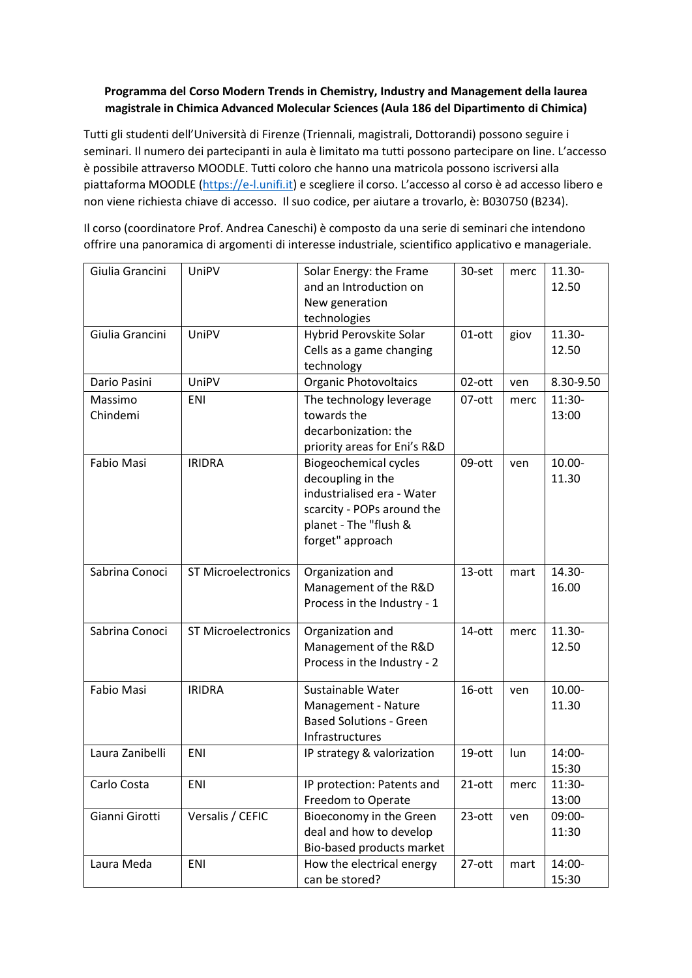## **Programma del Corso Modern Trends in Chemistry, Industry and Management della laurea magistrale in Chimica Advanced Molecular Sciences (Aula 186 del Dipartimento di Chimica)**

Tutti gli studenti dell'Università di Firenze (Triennali, magistrali, Dottorandi) possono seguire i seminari. Il numero dei partecipanti in aula è limitato ma tutti possono partecipare on line. L'accesso è possibile attraverso MOODLE. Tutti coloro che hanno una matricola possono iscriversi alla piattaforma MOODLE [\(https://e-l.unifi.it](https://e-l.unifi.it/)) e scegliere il corso. L'accesso al corso è ad accesso libero e non viene richiesta chiave di accesso. Il suo codice, per aiutare a trovarlo, è: B030750 (B234).

Il corso (coordinatore Prof. Andrea Caneschi) è composto da una serie di seminari che intendono offrire una panoramica di argomenti di interesse industriale, scientifico applicativo e manageriale.

| Giulia Grancini     | UniPV                      | Solar Energy: the Frame<br>and an Introduction on<br>New generation<br>technologies                                                                        | 30-set    | merc | 11.30-<br>12.50 |
|---------------------|----------------------------|------------------------------------------------------------------------------------------------------------------------------------------------------------|-----------|------|-----------------|
| Giulia Grancini     | UniPV                      | Hybrid Perovskite Solar<br>Cells as a game changing<br>technology                                                                                          | 01-ott    | giov | 11.30-<br>12.50 |
| Dario Pasini        | UniPV                      | Organic Photovoltaics                                                                                                                                      | 02-ott    | ven  | 8.30-9.50       |
| Massimo<br>Chindemi | ENI                        | The technology leverage<br>towards the<br>decarbonization: the<br>priority areas for Eni's R&D                                                             | 07-ott    | merc | 11:30-<br>13:00 |
| Fabio Masi          | <b>IRIDRA</b>              | <b>Biogeochemical cycles</b><br>decoupling in the<br>industrialised era - Water<br>scarcity - POPs around the<br>planet - The "flush &<br>forget" approach | 09-ott    | ven  | 10.00-<br>11.30 |
| Sabrina Conoci      | <b>ST Microelectronics</b> | Organization and<br>Management of the R&D<br>Process in the Industry - 1                                                                                   | 13-ott    | mart | 14.30-<br>16.00 |
| Sabrina Conoci      | <b>ST Microelectronics</b> | Organization and<br>Management of the R&D<br>Process in the Industry - 2                                                                                   | 14-ott    | merc | 11.30-<br>12.50 |
| Fabio Masi          | <b>IRIDRA</b>              | Sustainable Water<br>Management - Nature<br><b>Based Solutions - Green</b><br>Infrastructures                                                              | 16-ott    | ven  | 10.00-<br>11.30 |
| Laura Zanibelli     | <b>ENI</b>                 | IP strategy & valorization                                                                                                                                 | 19-ott    | lun  | 14:00-<br>15:30 |
| Carlo Costa         | ENI                        | IP protection: Patents and<br>Freedom to Operate                                                                                                           | $21$ -ott | merc | 11:30-<br>13:00 |
| Gianni Girotti      | Versalis / CEFIC           | Bioeconomy in the Green<br>deal and how to develop<br>Bio-based products market                                                                            | 23-ott    | ven  | 09:00-<br>11:30 |
| Laura Meda          | ENI                        | How the electrical energy<br>can be stored?                                                                                                                | 27-ott    | mart | 14:00-<br>15:30 |